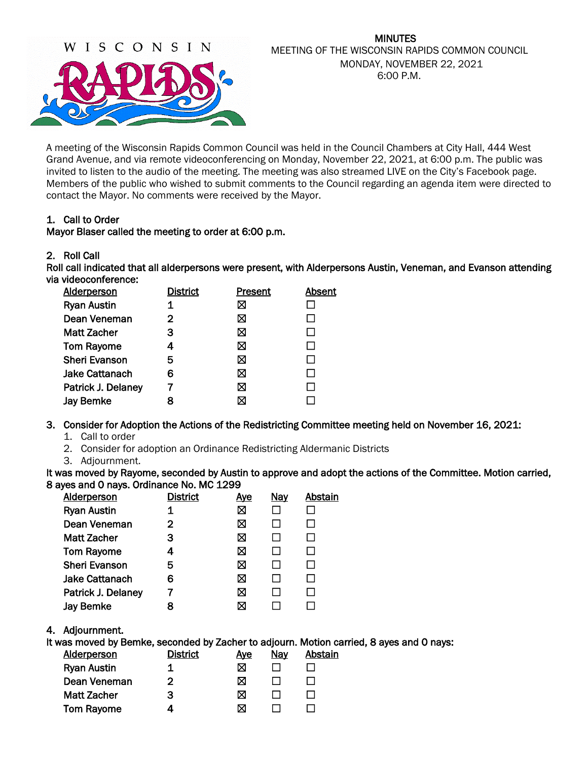

### MINUTES MEETING OF THE WISCONSIN RAPIDS COMMON COUNCIL MONDAY, NOVEMBER 22, 2021 6:00 P.M.

A meeting of the Wisconsin Rapids Common Council was held in the Council Chambers at City Hall, 444 West Grand Avenue, and via remote videoconferencing on Monday, November 22, 2021, at 6:00 p.m. The public was invited to listen to the audio of the meeting. The meeting was also streamed LIVE on the City's Facebook page. Members of the public who wished to submit comments to the Council regarding an agenda item were directed to contact the Mayor. No comments were received by the Mayor.

# 1. Call to Order

# Mayor Blaser called the meeting to order at 6:00 p.m.

### 2. Roll Call

Roll call indicated that all alderpersons were present, with Alderpersons Austin, Veneman, and Evanson attending via videoconference:

| <b>Alderperson</b>   | <b>District</b> | Present | Absent |
|----------------------|-----------------|---------|--------|
| <b>Ryan Austin</b>   | 1               | ⊠       |        |
| Dean Veneman         | 2               | ⊠       |        |
| <b>Matt Zacher</b>   | 3               | ⊠       | ΙI     |
| <b>Tom Rayome</b>    |                 | ⊠       | ΙI     |
| <b>Sheri Evanson</b> | 5               | ⊠       | П      |
| Jake Cattanach       | 6               | X       | П      |
| Patrick J. Delaney   |                 | ⊠       |        |
| <b>Jay Bemke</b>     | 8               | ⊠       |        |

# 3. Consider for Adoption the Actions of the Redistricting Committee meeting held on November 16, 2021:

- 1. Call to order
- 2. Consider for adoption an Ordinance Redistricting Aldermanic Districts
- 3. Adjournment.

It was moved by Rayome, seconded by Austin to approve and adopt the actions of the Committee. Motion carried, 8 ayes and 0 nays. Ordinance No. MC 1299

| <b>Alderperson</b>    | <b>District</b> | <u>Aye</u> | <b>Nay</b> | Abstain |
|-----------------------|-----------------|------------|------------|---------|
| <b>Ryan Austin</b>    |                 | ⊠          |            |         |
| Dean Veneman          | 2               | ⊠          |            |         |
| <b>Matt Zacher</b>    | 3               | ⊠          |            |         |
| <b>Tom Rayome</b>     | 4               | ⊠          |            |         |
| <b>Sheri Evanson</b>  | 5               | ⊠          |            |         |
| <b>Jake Cattanach</b> | 6               | ⊠          |            |         |
| Patrick J. Delaney    |                 | ⊠          |            |         |
| <b>Jay Bemke</b>      | 8               | ⊠          |            |         |
|                       |                 |            |            |         |

# 4. Adjournment.

It was moved by Bemke, seconded by Zacher to adjourn. Motion carried, 8 ayes and 0 nays:

| <b>Alderperson</b> | <b>District</b> | Aye | <u>Nay</u> | Abstain |
|--------------------|-----------------|-----|------------|---------|
| <b>Ryan Austin</b> |                 | M   |            |         |
| Dean Veneman       | 2               | ⊠   |            |         |
| <b>Matt Zacher</b> | з               | ⊠   |            |         |
| <b>Tom Rayome</b>  |                 | M   |            |         |